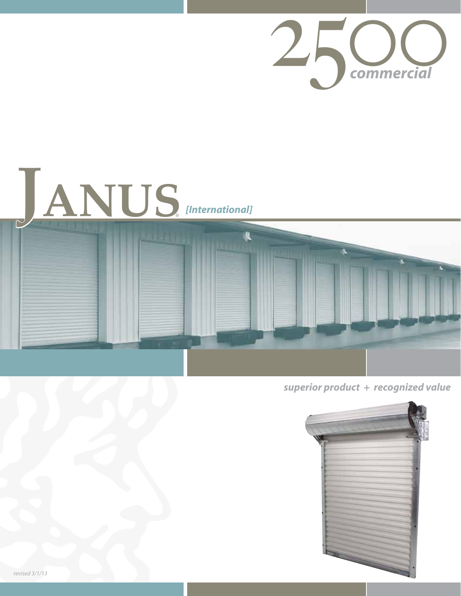





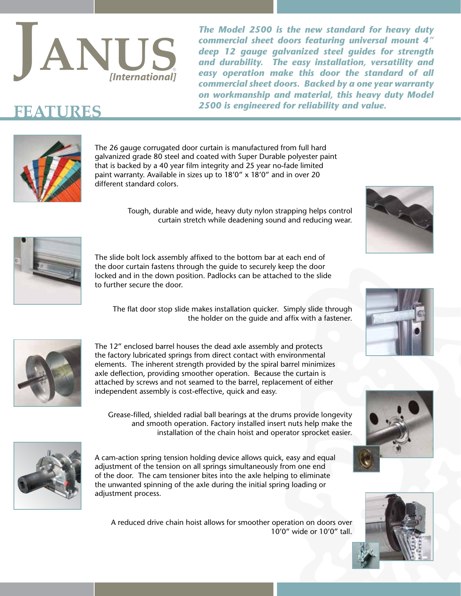

*The Model 2500 is the new standard for heavy duty commercial sheet doors featuring universal mount 4" deep 12 gauge galvanized steel guides for strength and durability. The easy installation, versatility and easy operation make this door the standard of all commercial sheet doors. Backed by a one year warranty on workmanship and material, this heavy duty Model*   $\mathbf{FFATURES}$  2500 is engineered for reliability and value.



The 26 gauge corrugated door curtain is manufactured from full hard galvanized grade 80 steel and coated with Super Durable polyester paint that is backed by a 40 year film integrity and 25 year no-fade limited paint warranty. Available in sizes up to 18'0" x 18'0" and in over 20 different standard colors.

> Tough, durable and wide, heavy duty nylon strapping helps control curtain stretch while deadening sound and reducing wear.



The slide bolt lock assembly affixed to the bottom bar at each end of the door curtain fastens through the guide to securely keep the door locked and in the down position. Padlocks can be attached to the slide to further secure the door.

The flat door stop slide makes installation quicker. Simply slide through the holder on the guide and affix with a fastener.



The 12" enclosed barrel houses the dead axle assembly and protects the factory lubricated springs from direct contact with environmental elements. The inherent strength provided by the spiral barrel minimizes axle deflection, providing smoother operation. Because the curtain is attached by screws and not seamed to the barrel, replacement of either independent assembly is cost-effective, quick and easy.

Grease-filled, shielded radial ball bearings at the drums provide longevity and smooth operation. Factory installed insert nuts help make the installation of the chain hoist and operator sprocket easier.



A cam-action spring tension holding device allows quick, easy and equal adjustment of the tension on all springs simultaneously from one end of the door. The cam tensioner bites into the axle helping to eliminate the unwanted spinning of the axle during the initial spring loading or adjustment process.

A reduced drive chain hoist allows for smoother operation on doors over 10'0" wide or 10'0" tall.







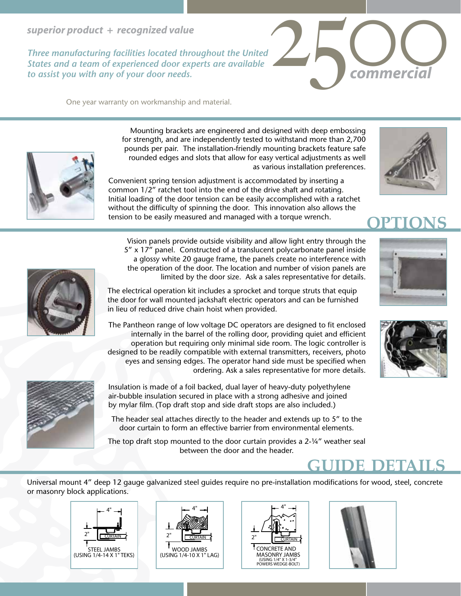### *superior product + recognized value*

*Three manufacturing facilities located throughout the United States and a team of experienced door experts are available to assist you with any of your door needs.*

One year warranty on workmanship and material.





Mounting brackets are engineered and designed with deep embossing for strength, and are independently tested to withstand more than 2,700 pounds per pair. The installation-friendly mounting brackets feature safe rounded edges and slots that allow for easy vertical adjustments as well as various installation preferences.

Convenient spring tension adjustment is accommodated by inserting a common 1/2" ratchet tool into the end of the drive shaft and rotating. Initial loading of the door tension can be easily accomplished with a ratchet without the difficulty of spinning the door. This innovation also allows the tension to be easily measured and managed with a torque wrench.







Vision panels provide outside visibility and allow light entry through the 5" x 17" panel. Constructed of a translucent polycarbonate panel inside a glossy white 20 gauge frame, the panels create no interference with the operation of the door. The location and number of vision panels are limited by the door size. Ask a sales representative for details.

The electrical operation kit includes a sprocket and torque struts that equip the door for wall mounted jackshaft electric operators and can be furnished in lieu of reduced drive chain hoist when provided.

The Pantheon range of low voltage DC operators are designed to fit enclosed internally in the barrel of the rolling door, providing quiet and efficient operation but requiring only minimal side room. The logic controller is designed to be readily compatible with external transmitters, receivers, photo eyes and sensing edges. The operator hand side must be specified when ordering. Ask a sales representative for more details.



The header seal attaches directly to the header and extends up to 5" to the door curtain to form an effective barrier from environmental elements.

The top draft stop mounted to the door curtain provides a 2-¼" weather seal between the door and the header.





**guide details**

Universal mount 4" deep 12 gauge galvanized steel guides require no pre-installation modifications for wood, steel, concrete or masonry block applications.